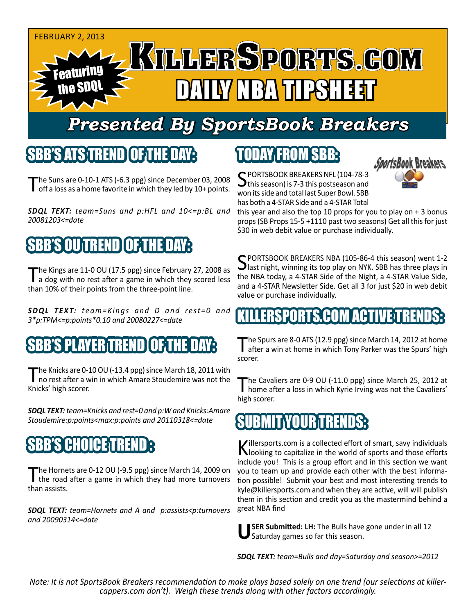

# *Presented By SportsBook Breakers*

#### SBB'S ATS TREN

The Suns are  $0-10-1$  ATS  $(-6.3$  ppg) since December 03, 2008 off a loss as a home favorite in which they led by 10+ points.

*SDQL TEXT: team=Suns and p:HFL and 10<=p:BL and 20081203<=date*

## BB'S OU TREND OOF THE DAY

The Kings are 11-0 OU (17.5 ppg) since February 27, 2008 as<br>a dog with no rest after a game in which they scored less than 10% of their points from the three-point line.

**SDQL TEXT:** *team=Kings and D and rest=0 and 3\*p:TPM<=p:points\*0.10 and 20080227<=date*

### S PLAYER TREND

The Knicks are 0-10 OU (-13.4 ppg) since March 18, 2011 with<br>no rest after a win in which Amare Stoudemire was not the Knicks' high scorer.

*SDQL TEXT: team=Knicks and rest=0 and p:W and Knicks:Amare Stoudemire:p:points<max:p:points and 20110318<=date*

#### **CHOICE**T

The Hornets are 0-12 OU (-9.5 ppg) since March 14, 2009 on<br>the road after a game in which they had more turnovers than assists.

*SDQL TEXT: team=Hornets and A and p:assists<p:turnovers and 20090314<=date*

# TODAY FROM SBB:



SPORTSBOOK BREAKERS NFL (104-78-3<br>
this season) is 7-3 this postseason and won its side and total last Super Bowl. SBB has both a 4-STAR Side and a 4-STAR Total

this year and also the top 10 props for you to play on  $+3$  bonus props (SB Props 15-5 +1110 past two seasons) Get all this for just \$30 in web debit value or purchase individually.

SPORTSBOOK BREAKERS NBA (105-86-4 this season) went 1-2<br>
last night, winning its top play on NYK. SBB has three plays in the NBA today, a 4-STAR Side of the Night, a 4-STAR Value Side, and a 4-STAR Newsletter Side. Get all 3 for just \$20 in web debit value or purchase individually.

#### KILLERSPORTS.COM ACTIVE TRENDS:

The Spurs are 8-0 ATS (12.9 ppg) since March 14, 2012 at home<br>after a win at home in which Tony Parker was the Spurs' high scorer.

The Cavaliers are 0-9 OU (-11.0 ppg) since March 25, 2012 at home after a loss in which Kyrie Irving was not the Cavaliers' high scorer.

#### BUNIT YOUR TREND

Killersports.com is a collected effort of smart, savy individuals<br>Nooking to capitalize in the world of sports and those efforts include you! This is a group effort and in this section we want you to team up and provide each other with the best information possible! Submit your best and most interesting trends to kyle@killersports.com and when they are active, will will publish them in this section and credit you as the mastermind behind a great NBA find

**SER Submitted: LH:** The Bulls have gone under in all 12 Saturday games so far this season.

*SDQL TEXT: team=Bulls and day=Saturday and season>=2012*

*Note: It is not SportsBook Breakers recommendation to make plays based solely on one trend (our selections at killercappers.com don't). Weigh these trends along with other factors accordingly.*